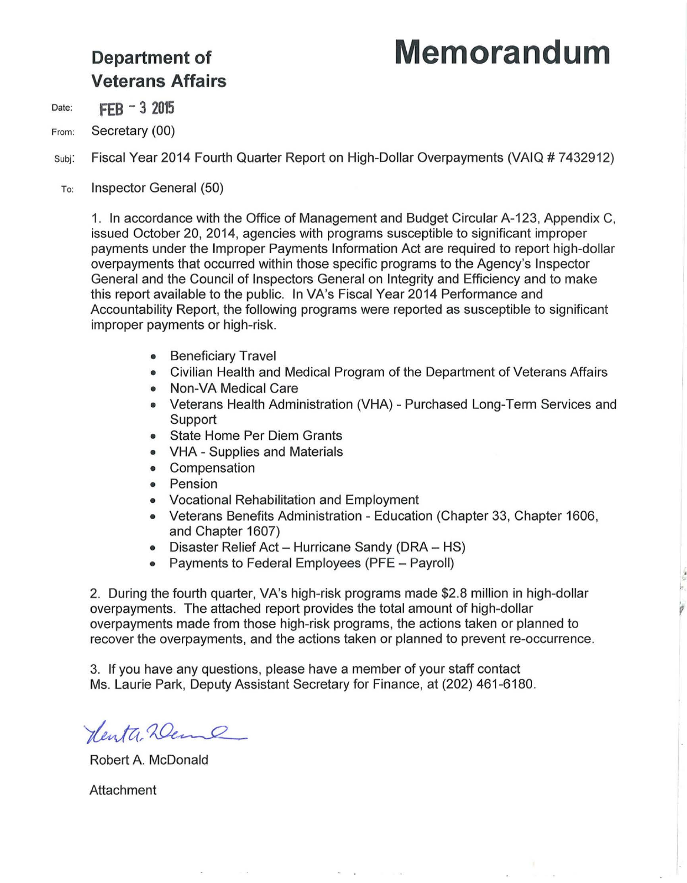# **Department of Memorandum**

' p

# **Veterans Affairs**

Date: **FEB - 3 2015** 

From: Secretary (00)

subj: Fiscal Year 2014 Fourth Quarter Report on High-Dollar Overpayments (VAIQ # 7432912)

To: Inspector General (50)

1. In accordance with the Office of Management and Budget Circular A-123, Appendix C, issued October 20, 2014, agencies with programs susceptible to significant improper payments under the Improper Payments Information Act are required to report high-dollar overpayments that occurred within those specific programs to the Agency's Inspector General and the Council of Inspectors General on Integrity and Efficiency and to make this report available to the public. In VA's Fiscal Year 2014 Performance and Accountability Report, the following programs were reported as susceptible to significant improper payments or high-risk.

- Beneficiary Travel
- Civilian Health and Medical Program of the Department of Veterans Affairs
- Non-VA Medical Care
- Veterans Health Administration (VHA) Purchased Long-Term Services and Support
- State Home Per Diem Grants
- VHA Supplies and Materials
- Compensation
- Pension
- Vocational Rehabilitation and Employment
- Veterans Benefits Administration Education (Chapter 33, Chapter 1606, and Chapter 1607)
- Disaster Relief Act Hurricane Sandy (DRA HS)
- Payments to Federal Employees (PFE Payroll)

2. During the fourth quarter, VA's high-risk programs made \$2.8 million in high-dollar overpayments. The attached report provides the total amount of high-dollar overpayments made from those high-risk programs, the actions taken or planned to recover the overpayments, and the actions taken or planned to prevent re-occurrence.

3. If you have any questions, please have a member of your staff contact Ms. Laurie Park, Deputy Assistant Secretary for Finance, at (202) 461 -6180.

Henta Zeme

Robert A. McDonald

Attachment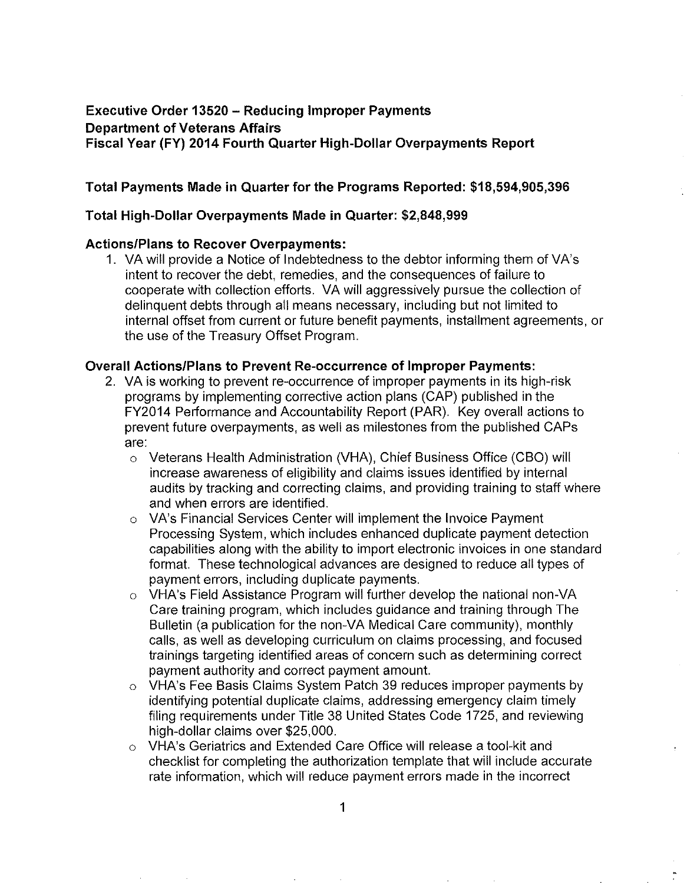# **Executive Order 13520 - Reducing Improper Payments Department of Veterans Affairs Fiscal Year (FY) 2014 Fourth Quarter High-Dollar Overpayments Report**

## **Total Payments Made in Quarter for the Programs Reported: \$18,594,905,396**

### **Total High-Dollar Overpayments Made in Quarter: \$2,848,999**

### **Actions/Plans to Recover Overpayments:**

1. VA will provide a Notice of Indebtedness to the debtor informing them of VA's intent to recover the debt, remedies, and the consequences of failure to cooperate with collection efforts. VA will aggressively pursue the collection of delinquent debts through all means necessary, including but not limited to internal offset from current or future benefit payments, installment agreements, or the use of the Treasury Offset Program.

### **Overall Actions/Plans to Prevent Re-occurrence of Improper Payments:**

- 2. VA is working to prevent re-occurrence of improper payments in its high-risk programs by implementing corrective action plans (CAP) published in the FY2014 Performance and Accountability Report (PAR). Key overall actions to prevent future overpayments, as well as milestones from the published CAPs are:
	- o Veterans Health Administration (VHA), Chief Business Office (CBO) will increase awareness of eligibility and claims issues identified by internal audits by tracking and correcting claims, and providing training to staff where and when errors are identified.
	- o VA's Financial Services Center will implement the Invoice Payment Processing System, which includes enhanced duplicate payment detection capabilities along with the ability to import electronic invoices in one standard format. These technological advances are designed to reduce all types of payment errors, including duplicate payments.
	- o VHA's Field Assistance Program will further develop the national non-VA Care training program, which includes guidance and training through The Bulletin (a publication for the non-VA Medical Care community), monthly calls, as well as developing curriculum on claims processing, and focused trainings targeting identified areas of concern such as determining correct payment authority and correct payment amount.
	- o VHA's Fee Basis Claims System Patch 39 reduces improper payments by identifying potential duplicate claims, addressing emergency claim timely filing requirements under Title 38 United States Code 1725, and reviewing high-dollar claims over \$25,000.
	- o VHA's Geriatrics and Extended Care Office will release a tool-kit and checklist for completing the authorization template that will include accurate rate information, which will reduce payment errors made in the incorrect